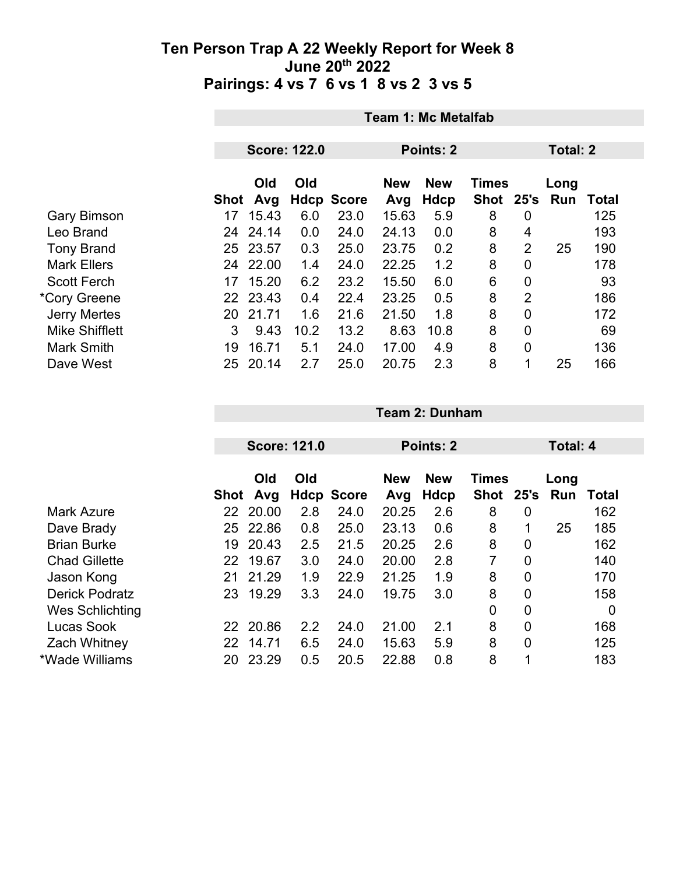|                       | <b>Team 1: Mc Metalfab</b> |                     |      |                           |              |             |                |                |                 |                     |  |
|-----------------------|----------------------------|---------------------|------|---------------------------|--------------|-------------|----------------|----------------|-----------------|---------------------|--|
|                       |                            | <b>Score: 122.0</b> |      |                           | Points: 2    |             |                |                | <b>Total: 2</b> |                     |  |
|                       |                            | Old                 | Old  |                           | <b>New</b>   | <b>New</b>  | <b>Times</b>   |                | Long            |                     |  |
| <b>Gary Bimson</b>    | Shot<br>17                 | Avg<br>15.43        | 6.0  | <b>Hdcp Score</b><br>23.0 | Avg<br>15.63 | Hdcp<br>5.9 | Shot 25's<br>8 | $\overline{0}$ | Run             | <b>Total</b><br>125 |  |
| Leo Brand             | 24                         | 24.14               | 0.0  | 24.0                      | 24.13        | 0.0         | 8              | 4              |                 | 193                 |  |
| <b>Tony Brand</b>     |                            | 25 23.57            | 0.3  | 25.0                      | 23.75        | 0.2         | 8              | $\overline{2}$ | 25              | 190                 |  |
| <b>Mark Ellers</b>    | 24                         | 22.00               | 1.4  | 24.0                      | 22.25        | 1.2         | 8              | 0              |                 | 178                 |  |
| <b>Scott Ferch</b>    | 17                         | 15.20               | 6.2  | 23.2                      | 15.50        | 6.0         | 6              | $\mathbf 0$    |                 | 93                  |  |
| *Cory Greene          |                            | 22 23.43            | 0.4  | 22.4                      | 23.25        | 0.5         | 8              | 2              |                 | 186                 |  |
| <b>Jerry Mertes</b>   | 20                         | 21.71               | 1.6  | 21.6                      | 21.50        | 1.8         | 8              | 0              |                 | 172                 |  |
| <b>Mike Shifflett</b> | 3                          | 9.43                | 10.2 | 13.2                      | 8.63         | 10.8        | 8              | 0              |                 | 69                  |  |
| <b>Mark Smith</b>     | 19                         | 16.71               | 5.1  | 24.0                      | 17.00        | 4.9         | 8              | 0              |                 | 136                 |  |
| Dave West             | 25                         | 20.14               | 2.7  | 25.0                      | 20.75        | 2.3         | 8              | 1              | 25              | 166                 |  |

|    |            |                                                      |      |                                          |                    |           |                | Total: 4             |       |  |
|----|------------|------------------------------------------------------|------|------------------------------------------|--------------------|-----------|----------------|----------------------|-------|--|
|    | Old<br>Avg | Old                                                  |      | <b>New</b><br>Avg                        | <b>New</b><br>Hdcp |           | 25's           | Long                 | Total |  |
|    |            | 2.8                                                  | 24.0 | 20.25                                    | 2.6                | 8         | 0              |                      | 162   |  |
|    |            | 0.8                                                  | 25.0 | 23.13                                    | 0.6                | 8         | 1              | 25                   | 185   |  |
| 19 | 20.43      | 2.5                                                  | 21.5 | 20.25                                    | 2.6                | 8         | 0              |                      | 162   |  |
|    |            | 3.0                                                  | 24.0 | 20.00                                    | 2.8                | 7         | 0              |                      | 140   |  |
| 21 | 21.29      | 1.9                                                  | 22.9 | 21.25                                    | 1.9                | 8         | $\overline{0}$ |                      | 170   |  |
| 23 | 19.29      | 3.3                                                  | 24.0 | 19.75                                    | 3.0                | 8         | $\overline{0}$ |                      | 158   |  |
|    |            |                                                      |      |                                          |                    | 0         | $\overline{0}$ |                      | 0     |  |
|    |            | 2.2                                                  | 24.0 | 21.00                                    | 2.1                | 8         | $\overline{0}$ |                      | 168   |  |
| 22 | 14.71      | 6.5                                                  | 24.0 | 15.63                                    | 5.9                | 8         | $\mathbf 0$    |                      | 125   |  |
| 20 | 23.29      | 0.5                                                  | 20.5 | 22.88                                    | 0.8                | 8         | 1              |                      | 183   |  |
|    |            | Shot<br>22 20.00<br>25 22.86<br>22 19.67<br>22 20.86 |      | <b>Score: 121.0</b><br><b>Hdcp Score</b> |                    | Points: 2 |                | <b>Times</b><br>Shot | Run   |  |

**Team 2: Dunham**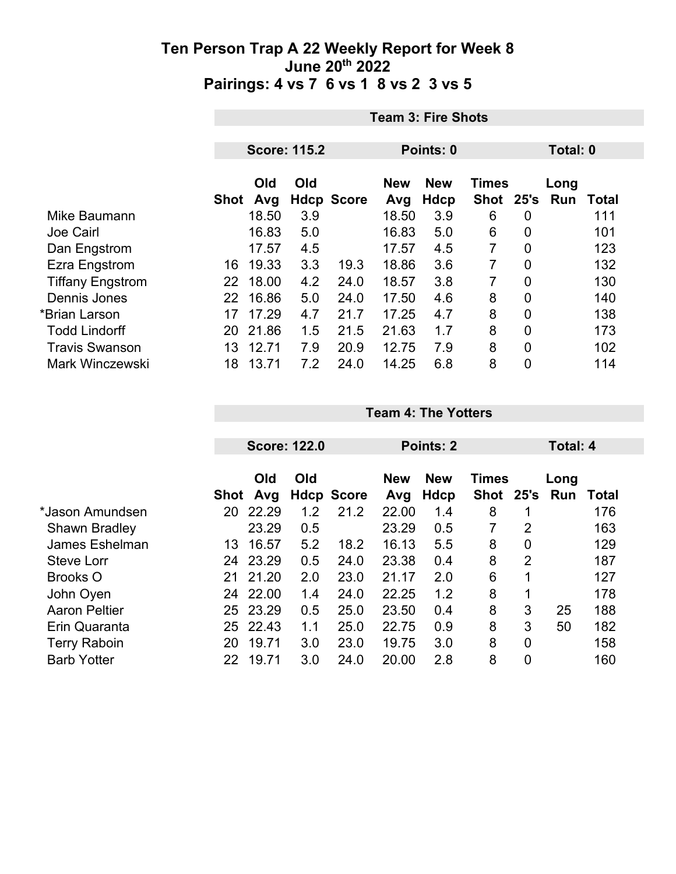|                         |      | <b>Team 3: Fire Shots</b> |                     |                   |                   |                    |                           |                |             |       |  |
|-------------------------|------|---------------------------|---------------------|-------------------|-------------------|--------------------|---------------------------|----------------|-------------|-------|--|
|                         |      |                           |                     |                   |                   |                    |                           |                |             |       |  |
|                         |      |                           | <b>Score: 115.2</b> |                   | Points: 0         |                    |                           |                | Total: 0    |       |  |
|                         | Shot | Old<br>Avg                | Old                 | <b>Hdcp Score</b> | <b>New</b><br>Avg | <b>New</b><br>Hdcp | <b>Times</b><br>Shot 25's |                | Long<br>Run | Total |  |
| Mike Baumann            |      | 18.50                     | 3.9                 |                   | 18.50             | 3.9                | 6                         | 0              |             | 111   |  |
| <b>Joe Cairl</b>        |      | 16.83                     | 5.0                 |                   | 16.83             | 5.0                | 6                         | $\overline{0}$ |             | 101   |  |
| Dan Engstrom            |      | 17.57                     | 4.5                 |                   | 17.57             | 4.5                | $\overline{7}$            | 0              |             | 123   |  |
| Ezra Engstrom           | 16   | 19.33                     | 3.3                 | 19.3              | 18.86             | 3.6                | 7                         | $\overline{0}$ |             | 132   |  |
| <b>Tiffany Engstrom</b> | 22   | 18.00                     | 4.2                 | 24.0              | 18.57             | 3.8                | 7                         | $\overline{0}$ |             | 130   |  |
| Dennis Jones            | 22   | 16.86                     | 5.0                 | 24.0              | 17.50             | 4.6                | 8                         | 0              |             | 140   |  |
| *Brian Larson           | 17   | 17.29                     | 4.7                 | 21.7              | 17.25             | 4.7                | 8                         | 0              |             | 138   |  |
| <b>Todd Lindorff</b>    | 20   | 21.86                     | 1.5                 | 21.5              | 21.63             | 1.7                | 8                         | $\overline{0}$ |             | 173   |  |
| <b>Travis Swanson</b>   | 13   | 12.71                     | 7.9                 | 20.9              | 12.75             | 7.9                | 8                         | 0              |             | 102   |  |
| <b>Mark Winczewski</b>  | 18   | 13.71                     | 7.2                 | 24.0              | 14.25             | 6.8                | 8                         | 0              |             | 114   |  |

|                      |    | <b>Score: 122.0</b> |     |                   | Points: 2                                |      | Total: 4 |                |          |       |  |
|----------------------|----|---------------------|-----|-------------------|------------------------------------------|------|----------|----------------|----------|-------|--|
|                      |    | Old<br>Old          |     |                   | <b>New</b><br><b>Times</b><br><b>New</b> |      |          | Long           |          |       |  |
|                      |    | Shot Avg            |     | <b>Hdcp Score</b> | Avg                                      | Hdcp | Shot     |                | 25's Run | Total |  |
| *Jason Amundsen      | 20 | 22.29               | 1.2 | 21.2              | 22.00                                    | 1.4  | 8        |                |          | 176   |  |
| <b>Shawn Bradley</b> |    | 23.29               | 0.5 |                   | 23.29                                    | 0.5  | 7        | $\overline{2}$ |          | 163   |  |
| James Eshelman       | 13 | 16.57               | 5.2 | 18.2              | 16.13                                    | 5.5  | 8        | $\overline{0}$ |          | 129   |  |
| <b>Steve Lorr</b>    | 24 | 23.29               | 0.5 | 24.0              | 23.38                                    | 0.4  | 8        | $\overline{2}$ |          | 187   |  |
| <b>Brooks O</b>      | 21 | 21.20               | 2.0 | 23.0              | 21.17                                    | 2.0  | 6        | 1              |          | 127   |  |
| John Oyen            | 24 | 22.00               | 1.4 | 24.0              | 22.25                                    | 1.2  | 8        | 1              |          | 178   |  |
| <b>Aaron Peltier</b> | 25 | 23.29               | 0.5 | 25.0              | 23.50                                    | 0.4  | 8        | 3              | 25       | 188   |  |
| Erin Quaranta        |    | 25 22.43            | 1.1 | 25.0              | 22.75                                    | 0.9  | 8        | 3              | 50       | 182   |  |
| <b>Terry Raboin</b>  | 20 | 19.71               | 3.0 | 23.0              | 19.75                                    | 3.0  | 8        | $\mathbf 0$    |          | 158   |  |
| <b>Barb Yotter</b>   | 22 | 19.71               | 3.0 | 24.0              | 20.00                                    | 2.8  | 8        | $\overline{0}$ |          | 160   |  |

**Team 4: The Yotters**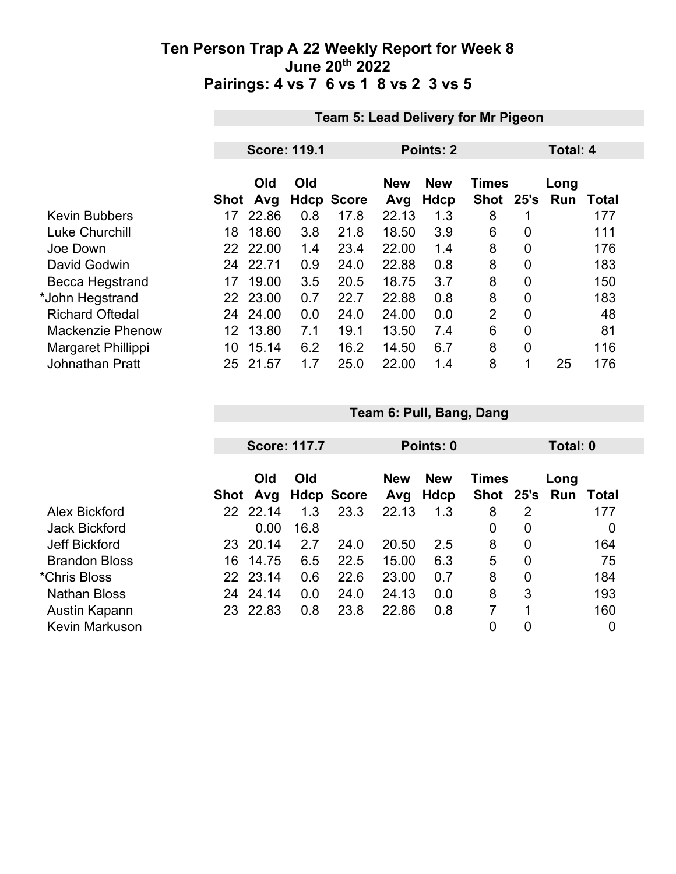|                         | <b>Team 5: Lead Delivery for Mr Pigeon</b> |                     |     |                   |                   |                    |                      |                |                 |       |  |
|-------------------------|--------------------------------------------|---------------------|-----|-------------------|-------------------|--------------------|----------------------|----------------|-----------------|-------|--|
|                         |                                            |                     |     |                   |                   |                    |                      |                |                 |       |  |
|                         |                                            | <b>Score: 119.1</b> |     |                   | Points: 2         |                    |                      |                | <b>Total: 4</b> |       |  |
|                         | Shot                                       | Old<br>Avg          | Old | <b>Hdcp Score</b> | <b>New</b><br>Avg | <b>New</b><br>Hdcp | <b>Times</b><br>Shot | 25's           | Long<br>Run     | Total |  |
| <b>Kevin Bubbers</b>    | 17                                         | 22.86               | 0.8 | 17.8              | 22.13             | 1.3                | 8                    | 1              |                 | 177   |  |
| <b>Luke Churchill</b>   | 18                                         | 18.60               | 3.8 | 21.8              | 18.50             | 3.9                | 6                    | 0              |                 | 111   |  |
| Joe Down                |                                            | 22 22.00            | 1.4 | 23.4              | 22.00             | 1.4                | 8                    | 0              |                 | 176   |  |
| David Godwin            | 24                                         | 22.71               | 0.9 | 24.0              | 22.88             | 0.8                | 8                    | 0              |                 | 183   |  |
| Becca Hegstrand         | 17                                         | 19.00               | 3.5 | 20.5              | 18.75             | 3.7                | 8                    | $\overline{0}$ |                 | 150   |  |
| *John Hegstrand         |                                            | 22 23.00            | 0.7 | 22.7              | 22.88             | 0.8                | 8                    | 0              |                 | 183   |  |
| <b>Richard Oftedal</b>  | 24                                         | 24.00               | 0.0 | 24.0              | 24.00             | 0.0                | $\overline{2}$       | $\overline{0}$ |                 | 48    |  |
| <b>Mackenzie Phenow</b> | 12                                         | 13.80               | 7.1 | 19.1              | 13.50             | 7.4                | 6                    | 0              |                 | 81    |  |
| Margaret Phillippi      | 10                                         | 15.14               | 6.2 | 16.2              | 14.50             | 6.7                | 8                    | 0              |                 | 116   |  |
| <b>Johnathan Pratt</b>  | 25.                                        | 21.57               | 1.7 | 25.0              | 22.00             | 1.4                | 8                    | 1              | 25              | 176   |  |

|                       |    | <b>Score: 117.7</b> |      |                   | Points: 0         |                    | Total: 0                      |                |      |       |
|-----------------------|----|---------------------|------|-------------------|-------------------|--------------------|-------------------------------|----------------|------|-------|
|                       |    | Old<br>Shot Avg     | Old  | <b>Hdcp Score</b> | <b>New</b><br>Avg | <b>New</b><br>Hdcp | <b>Times</b><br>Shot 25's Run |                | Long | Total |
| Alex Bickford         |    | 22 22.14            | 1.3  | 23.3              | 22.13             | 1.3                | 8                             | 2              |      | 177   |
| <b>Jack Bickford</b>  |    | 0.00                | 16.8 |                   |                   |                    | 0                             | 0              |      | O     |
| <b>Jeff Bickford</b>  | 23 | 20.14               | 2.7  | 24.0              | 20.50             | 2.5                | 8                             | $\mathbf 0$    |      | 164   |
| <b>Brandon Bloss</b>  | 16 | 14.75               | 6.5  | 22.5              | 15.00             | 6.3                | 5                             | $\mathbf 0$    |      | 75    |
| *Chris Bloss          |    | 22 23.14            | 0.6  | 22.6              | 23.00             | 0.7                | 8                             | $\overline{0}$ |      | 184   |
| <b>Nathan Bloss</b>   |    | 24 24.14            | 0.0  | 24.0              | 24.13             | 0.0                | 8                             | 3              |      | 193   |
| Austin Kapann         | 23 | 22.83               | 0.8  | 23.8              | 22.86             | 0.8                |                               |                |      | 160   |
| <b>Kevin Markuson</b> |    |                     |      |                   |                   |                    | 0                             | 0              |      | 0     |

**Team 6: Pull, Bang, Dang**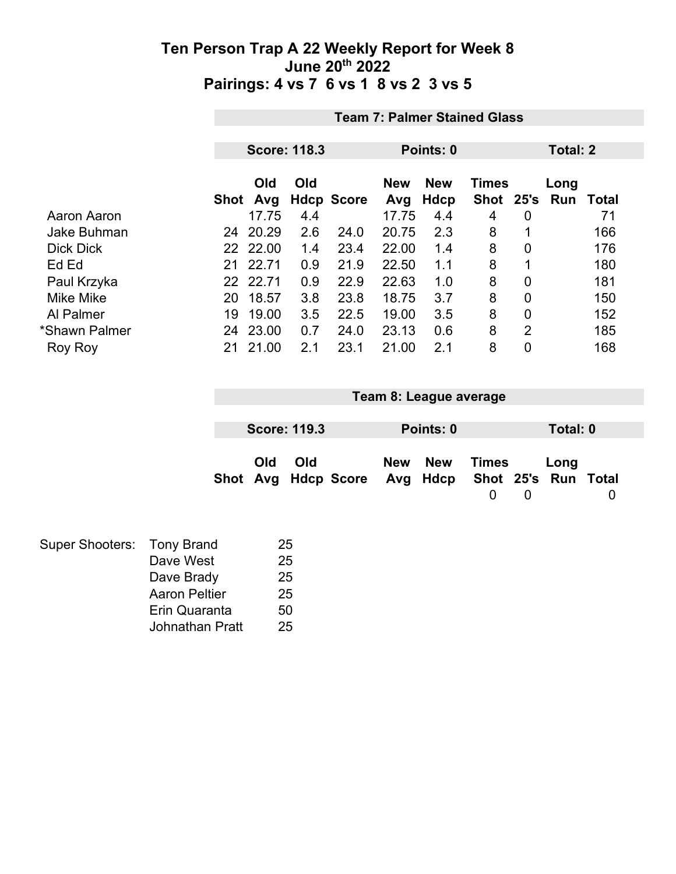|                    | <b>Team 7: Palmer Stained Glass</b> |                     |     |                   |            |            |              |                |      |       |
|--------------------|-------------------------------------|---------------------|-----|-------------------|------------|------------|--------------|----------------|------|-------|
|                    |                                     |                     |     |                   |            |            |              |                |      |       |
|                    |                                     | <b>Score: 118.3</b> |     |                   | Points: 0  |            |              | Total: 2       |      |       |
|                    |                                     | Old                 | Old |                   | <b>New</b> | <b>New</b> | <b>Times</b> |                | Long |       |
|                    | <b>Shot</b>                         | Avg                 |     | <b>Hdcp Score</b> | Avg        | Hdcp       | <b>Shot</b>  | 25's           | Run  | Total |
| Aaron Aaron        |                                     | 17.75               | 4.4 |                   | 17.75      | 4.4        | 4            | 0              |      | 71    |
| <b>Jake Buhman</b> | 24                                  | 20.29               | 2.6 | 24.0              | 20.75      | 2.3        | 8            | 1              |      | 166   |
| <b>Dick Dick</b>   |                                     | 22 22.00            | 1.4 | 23.4              | 22.00      | 1.4        | 8            | 0              |      | 176   |
| Ed Ed              | 21                                  | 22.71               | 0.9 | 21.9              | 22.50      | 1.1        | 8            | 1              |      | 180   |
| Paul Krzyka        |                                     | 22 22.71            | 0.9 | 22.9              | 22.63      | 1.0        | 8            | 0              |      | 181   |
| <b>Mike Mike</b>   | 20                                  | 18.57               | 3.8 | 23.8              | 18.75      | 3.7        | 8            | 0              |      | 150   |
| Al Palmer          | 19                                  | 19.00               | 3.5 | 22.5              | 19.00      | 3.5        | 8            | 0              |      | 152   |
| *Shawn Palmer      | 24                                  | 23.00               | 0.7 | 24.0              | 23.13      | 0.6        | 8            | $\overline{2}$ |      | 185   |
| Roy Roy            | 21                                  | 21.00               | 2.1 | 23.1              | 21.00      | 2.1        | 8            | 0              |      | 168   |

|                                                         |     | Team 8: League average |           |       |          |   |
|---------------------------------------------------------|-----|------------------------|-----------|-------|----------|---|
| <b>Score: 119.3</b>                                     |     |                        | Points: 0 |       | Total: 0 |   |
| Old<br>Shot Avg Hdcp Score Avg Hdcp Shot 25's Run Total | Old |                        | New New   | Times | Long     | 0 |

| Super Shooters: Tony Brand |                      | 25 |
|----------------------------|----------------------|----|
|                            | Dave West            | 25 |
|                            | Dave Brady           | 25 |
|                            | <b>Aaron Peltier</b> | 25 |
|                            | Erin Quaranta        | 50 |
|                            | Johnathan Pratt      | 25 |
|                            |                      |    |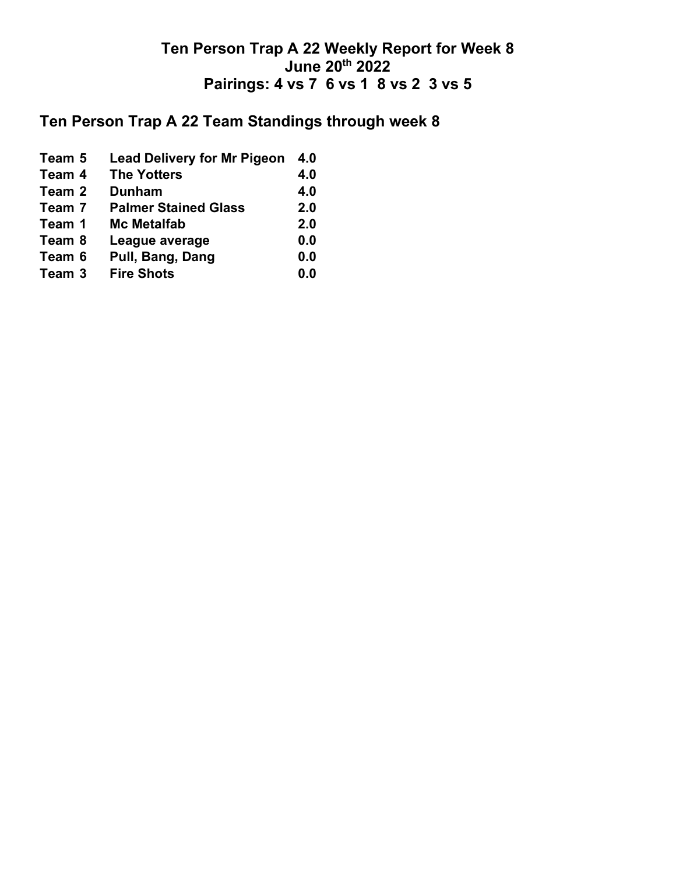# **Ten Person Trap A 22 Team Standings through week 8**

| Team 5 | <b>Lead Delivery for Mr Pigeon</b> | 4.0 |
|--------|------------------------------------|-----|
| Team 4 | <b>The Yotters</b>                 | 4.0 |
| Team 2 | <b>Dunham</b>                      | 4.0 |
| Team 7 | <b>Palmer Stained Glass</b>        | 2.0 |
| Team 1 | <b>Mc Metalfab</b>                 | 2.0 |
| Team 8 | League average                     | 0.0 |
| Team 6 | Pull, Bang, Dang                   | 0.0 |
| Team 3 | <b>Fire Shots</b>                  | 0.0 |
|        |                                    |     |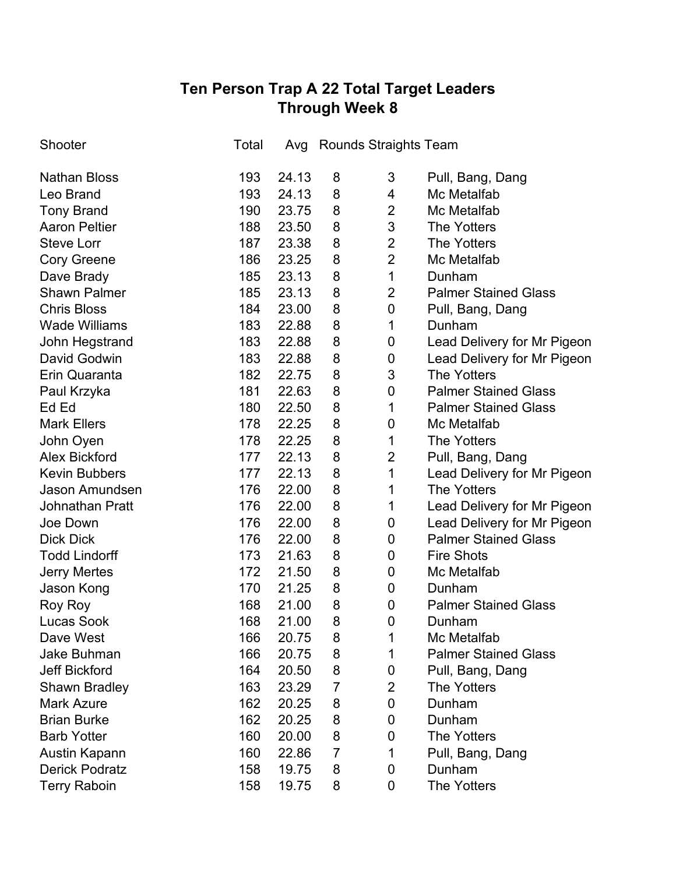## **Ten Person Trap A 22 Total Target Leaders Through Week 8**

| Shooter                | Total | Avg   |                | Rounds Straights Team |                             |
|------------------------|-------|-------|----------------|-----------------------|-----------------------------|
| <b>Nathan Bloss</b>    | 193   | 24.13 | 8              | 3                     | Pull, Bang, Dang            |
| Leo Brand              | 193   | 24.13 | 8              | 4                     | Mc Metalfab                 |
| <b>Tony Brand</b>      | 190   | 23.75 | 8              | $\overline{2}$        | Mc Metalfab                 |
| <b>Aaron Peltier</b>   | 188   | 23.50 | 8              | 3                     | <b>The Yotters</b>          |
| <b>Steve Lorr</b>      | 187   | 23.38 | 8              | $\overline{2}$        | The Yotters                 |
| <b>Cory Greene</b>     | 186   | 23.25 | 8              | $\overline{2}$        | Mc Metalfab                 |
| Dave Brady             | 185   | 23.13 | 8              | 1                     | Dunham                      |
| <b>Shawn Palmer</b>    | 185   | 23.13 | 8              | $\overline{2}$        | <b>Palmer Stained Glass</b> |
| <b>Chris Bloss</b>     | 184   | 23.00 | 8              | 0                     | Pull, Bang, Dang            |
| <b>Wade Williams</b>   | 183   | 22.88 | 8              | 1                     | Dunham                      |
| John Hegstrand         | 183   | 22.88 | 8              | 0                     | Lead Delivery for Mr Pigeon |
| David Godwin           | 183   | 22.88 | 8              | 0                     | Lead Delivery for Mr Pigeon |
| Erin Quaranta          | 182   | 22.75 | 8              | 3                     | <b>The Yotters</b>          |
| Paul Krzyka            | 181   | 22.63 | 8              | 0                     | <b>Palmer Stained Glass</b> |
| Ed Ed                  | 180   | 22.50 | 8              | 1                     | <b>Palmer Stained Glass</b> |
| <b>Mark Ellers</b>     | 178   | 22.25 | 8              | 0                     | Mc Metalfab                 |
| John Oyen              | 178   | 22.25 | 8              | 1                     | <b>The Yotters</b>          |
| <b>Alex Bickford</b>   | 177   | 22.13 | 8              | 2                     | Pull, Bang, Dang            |
| <b>Kevin Bubbers</b>   | 177   | 22.13 | 8              | 1                     | Lead Delivery for Mr Pigeon |
| Jason Amundsen         | 176   | 22.00 | 8              | 1                     | <b>The Yotters</b>          |
| <b>Johnathan Pratt</b> | 176   | 22.00 | 8              | 1                     | Lead Delivery for Mr Pigeon |
| Joe Down               | 176   | 22.00 | 8              | 0                     | Lead Delivery for Mr Pigeon |
| <b>Dick Dick</b>       | 176   | 22.00 | 8              | 0                     | <b>Palmer Stained Glass</b> |
| <b>Todd Lindorff</b>   | 173   | 21.63 | 8              | 0                     | <b>Fire Shots</b>           |
| <b>Jerry Mertes</b>    | 172   | 21.50 | 8              | 0                     | Mc Metalfab                 |
| Jason Kong             | 170   | 21.25 | 8              | 0                     | Dunham                      |
| Roy Roy                | 168   | 21.00 | 8              | 0                     | <b>Palmer Stained Glass</b> |
| <b>Lucas Sook</b>      | 168   | 21.00 | 8              | 0                     | Dunham                      |
| Dave West              | 166   | 20.75 | 8              | 1                     | Mc Metalfab                 |
| Jake Buhman            | 166   | 20.75 | 8              | 1                     | <b>Palmer Stained Glass</b> |
| <b>Jeff Bickford</b>   | 164   | 20.50 | 8              | 0                     | Pull, Bang, Dang            |
| Shawn Bradley          | 163   | 23.29 | $\overline{7}$ | $\overline{2}$        | <b>The Yotters</b>          |
| <b>Mark Azure</b>      | 162   | 20.25 | 8              | 0                     | Dunham                      |
| <b>Brian Burke</b>     | 162   | 20.25 | 8              | 0                     | Dunham                      |
| <b>Barb Yotter</b>     | 160   | 20.00 | 8              | 0                     | <b>The Yotters</b>          |
| Austin Kapann          | 160   | 22.86 | $\overline{7}$ | 1                     | Pull, Bang, Dang            |
| <b>Derick Podratz</b>  | 158   | 19.75 | 8              | 0                     | Dunham                      |
| <b>Terry Raboin</b>    | 158   | 19.75 | 8              | 0                     | The Yotters                 |